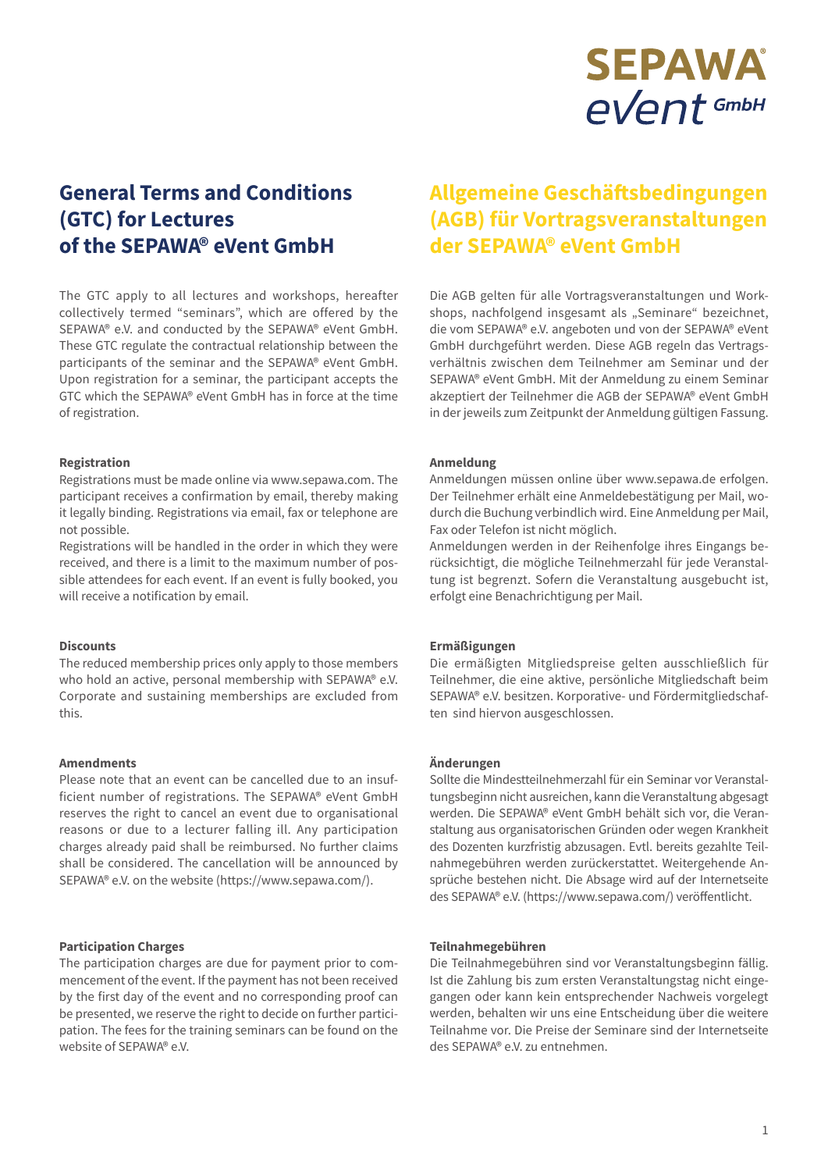# **SEPAWA eVent** GmbH

# **General Terms and Conditions (GTC) for Lectures of the SEPAWA® eVent GmbH**

The GTC apply to all lectures and workshops, hereafter collectively termed "seminars", which are offered by the SEPAWA® e.V. and conducted by the SEPAWA® eVent GmbH. These GTC regulate the contractual relationship between the participants of the seminar and the SEPAWA® eVent GmbH. Upon registration for a seminar, the participant accepts the GTC which the SEPAWA® eVent GmbH has in force at the time of registration.

#### **Registration**

Registrations must be made online via www.sepawa.com. The participant receives a confirmation by email, thereby making it legally binding. Registrations via email, fax or telephone are not possible.

Registrations will be handled in the order in which they were received, and there is a limit to the maximum number of possible attendees for each event. If an event is fully booked, you will receive a notification by email.

# **Discounts**

The reduced membership prices only apply to those members who hold an active, personal membership with SEPAWA® e.V. Corporate and sustaining memberships are excluded from this.

#### **Amendments**

Please note that an event can be cancelled due to an insufficient number of registrations. The SEPAWA® eVent GmbH reserves the right to cancel an event due to organisational reasons or due to a lecturer falling ill. Any participation charges already paid shall be reimbursed. No further claims shall be considered. The cancellation will be announced by SEPAWA® e.V. on the website (https://www.sepawa.com/).

## **Participation Charges**

The participation charges are due for payment prior to commencement of the event. If the payment has not been received by the first day of the event and no corresponding proof can be presented, we reserve the right to decide on further participation. The fees for the training seminars can be found on the website of SEPAWA® e.V.

# **Allgemeine Geschäftsbedingungen (AGB) für Vortragsveranstaltungen der SEPAWA® eVent GmbH**

Die AGB gelten für alle Vortragsveranstaltungen und Workshops, nachfolgend insgesamt als "Seminare" bezeichnet, die vom SEPAWA® e.V. angeboten und von der SEPAWA® eVent GmbH durchgeführt werden. Diese AGB regeln das Vertragsverhältnis zwischen dem Teilnehmer am Seminar und der SEPAWA® eVent GmbH. Mit der Anmeldung zu einem Seminar akzeptiert der Teilnehmer die AGB der SEPAWA® eVent GmbH in der jeweils zum Zeitpunkt der Anmeldung gültigen Fassung.

# **Anmeldung**

Anmeldungen müssen online über www.sepawa.de erfolgen. Der Teilnehmer erhält eine Anmeldebestätigung per Mail, wodurch die Buchung verbindlich wird. Eine Anmeldung per Mail, Fax oder Telefon ist nicht möglich.

Anmeldungen werden in der Reihenfolge ihres Eingangs berücksichtigt, die mögliche Teilnehmerzahl für jede Veranstaltung ist begrenzt. Sofern die Veranstaltung ausgebucht ist, erfolgt eine Benachrichtigung per Mail.

## **Ermäßigungen**

Die ermäßigten Mitgliedspreise gelten ausschließlich für Teilnehmer, die eine aktive, persönliche Mitgliedschaft beim SEPAWA® e.V. besitzen. Korporative- und Fördermitgliedschaften sind hiervon ausgeschlossen.

#### **Änderungen**

Sollte die Mindestteilnehmerzahl für ein Seminar vor Veranstaltungsbeginn nicht ausreichen, kann die Veranstaltung abgesagt werden. Die SEPAWA® eVent GmbH behält sich vor, die Veranstaltung aus organisatorischen Gründen oder wegen Krankheit des Dozenten kurzfristig abzusagen. Evtl. bereits gezahlte Teilnahmegebühren werden zurückerstattet. Weitergehende Ansprüche bestehen nicht. Die Absage wird auf der Internetseite des SEPAWA® e.V. (https://www.sepawa.com/) veröffentlicht.

## **Teilnahmegebühren**

Die Teilnahmegebühren sind vor Veranstaltungsbeginn fällig. Ist die Zahlung bis zum ersten Veranstaltungstag nicht eingegangen oder kann kein entsprechender Nachweis vorgelegt werden, behalten wir uns eine Entscheidung über die weitere Teilnahme vor. Die Preise der Seminare sind der Internetseite des SEPAWA® e.V. zu entnehmen.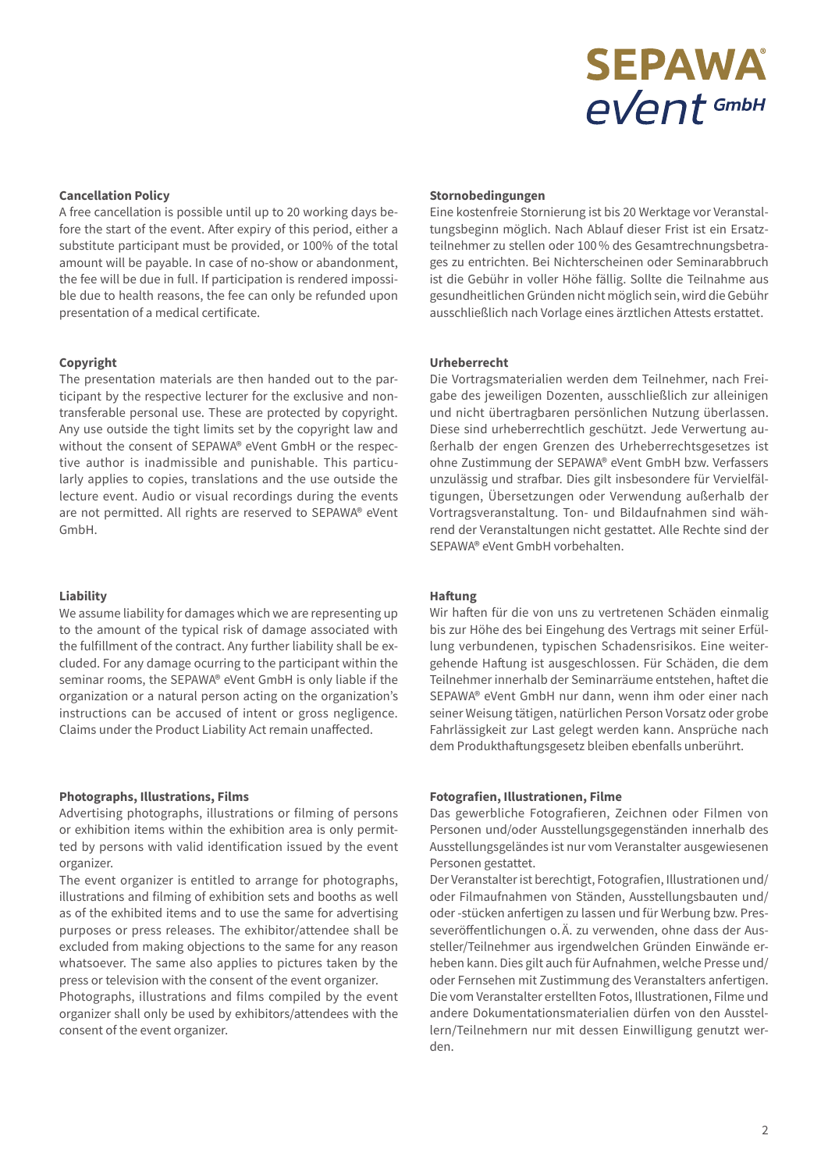# **SEPAWA eVent** GmbH

### **Cancellation Policy**

A free cancellation is possible until up to 20 working days before the start of the event. After expiry of this period, either a substitute participant must be provided, or 100% of the total amount will be payable. In case of no-show or abandonment, the fee will be due in full. If participation is rendered impossible due to health reasons, the fee can only be refunded upon presentation of a medical certificate.

#### **Copyright**

The presentation materials are then handed out to the participant by the respective lecturer for the exclusive and non-transferable personal use. These are protected by copyright. Any use outside the tight limits set by the copyright law and without the consent of SEPAWA® eVent GmbH or the respective author is inadmissible and punishable. This particularly applies to copies, translations and the use outside the lecture event. Audio or visual recordings during the events are not permitted. All rights are reserved to SEPAWA® eVent GmbH.

#### **Liability**

We assume liability for damages which we are representing up to the amount of the typical risk of damage associated with the fulfillment of the contract. Any further liability shall be excluded. For any damage ocurring to the participant within the seminar rooms, the SEPAWA® eVent GmbH is only liable if the organization or a natural person acting on the organization's instructions can be accused of intent or gross negligence. Claims under the Product Liability Act remain unaffected.

#### **Photographs, Illustrations, Films**

Advertising photographs, illustrations or filming of persons or exhibition items within the exhibition area is only permitted by persons with valid identification issued by the event organizer.

The event organizer is entitled to arrange for photographs, illustrations and filming of exhibition sets and booths as well as of the exhibited items and to use the same for advertising purposes or press releases. The exhibitor/attendee shall be excluded from making objections to the same for any reason whatsoever. The same also applies to pictures taken by the press or television with the consent of the event organizer. Photographs, illustrations and films compiled by the event organizer shall only be used by exhibitors/attendees with the consent of the event organizer.

#### **Stornobedingungen**

Eine kostenfreie Stornierung ist bis 20 Werktage vor Veranstaltungsbeginn möglich. Nach Ablauf dieser Frist ist ein Ersatzteilnehmer zu stellen oder 100% des Gesamtrechnungsbetrages zu entrichten. Bei Nichterscheinen oder Seminarabbruch ist die Gebühr in voller Höhe fällig. Sollte die Teilnahme aus gesundheitlichen Gründen nicht möglich sein, wird die Gebühr ausschließlich nach Vorlage eines ärztlichen Attests erstattet.

#### **Urheberrecht**

Die Vortragsmaterialien werden dem Teilnehmer, nach Freigabe des jeweiligen Dozenten, ausschließlich zur alleinigen und nicht übertragbaren persönlichen Nutzung überlassen. Diese sind urheberrechtlich geschützt. Jede Verwertung außerhalb der engen Grenzen des Urheberrechtsgesetzes ist ohne Zustimmung der SEPAWA® eVent GmbH bzw. Verfassers unzulässig und strafbar. Dies gilt insbesondere für Vervielfältigungen, Übersetzungen oder Verwendung außerhalb der Vortragsveranstaltung. Ton- und Bildaufnahmen sind während der Veranstaltungen nicht gestattet. Alle Rechte sind der SEPAWA® eVent GmbH vorbehalten.

#### **Haftung**

Wir haften für die von uns zu vertretenen Schäden einmalig bis zur Höhe des bei Eingehung des Vertrags mit seiner Erfüllung verbundenen, typischen Schadensrisikos. Eine weitergehende Haftung ist ausgeschlossen. Für Schäden, die dem Teilnehmer innerhalb der Seminarräume entstehen, haftet die SEPAWA® eVent GmbH nur dann, wenn ihm oder einer nach seiner Weisung tätigen, natürlichen Person Vorsatz oder grobe Fahrlässigkeit zur Last gelegt werden kann. Ansprüche nach dem Produkthaftungsgesetz bleiben ebenfalls unberührt.

#### **Fotografien, Illustrationen, Filme**

Das gewerbliche Fotografieren, Zeichnen oder Filmen von Personen und/oder Ausstellungsgegenständen innerhalb des Ausstellungsgeländes ist nur vom Veranstalter ausgewiesenen Personen gestattet.

Der Veranstalter ist berechtigt, Fotografien, Illustrationen und/ oder Filmaufnahmen von Ständen, Ausstellungsbauten und/ oder -stücken anfertigen zu lassen und für Werbung bzw. Presseveröffentlichungen o.Ä. zu verwenden, ohne dass der Aussteller/Teilnehmer aus irgendwelchen Gründen Einwände erheben kann. Dies gilt auch für Aufnahmen, welche Presse und/ oder Fernsehen mit Zustimmung des Veranstalters anfertigen. Die vom Veranstalter erstellten Fotos, Illustrationen, Filme und andere Dokumentationsmaterialien dürfen von den Ausstellern/Teilnehmern nur mit dessen Einwilligung genutzt werden.